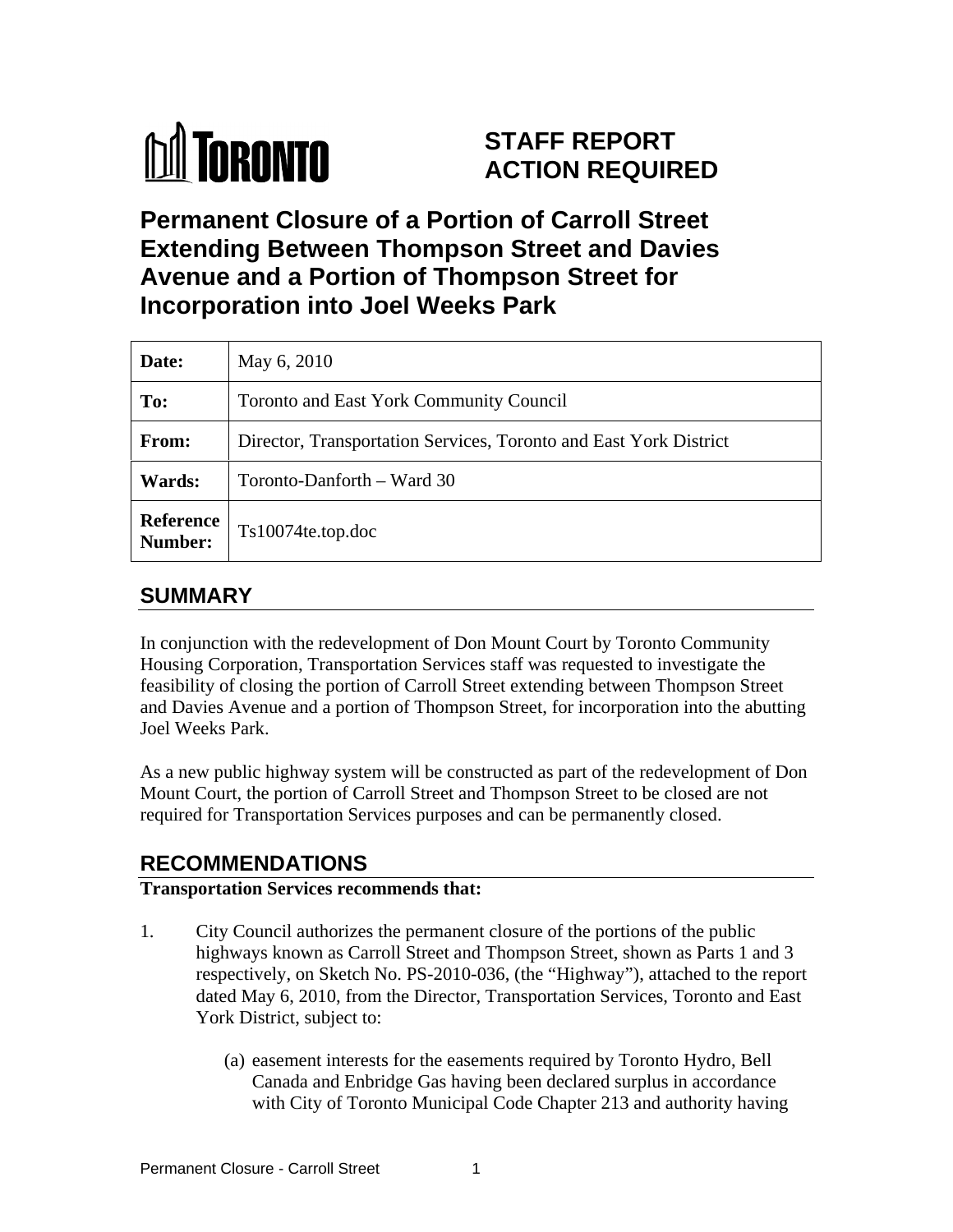

# **STAFF REPORT ACTION REQUIRED**

**Permanent Closure of a Portion of Carroll Street Extending Between Thompson Street and Davies Avenue and a Portion of Thompson Street for Incorporation into Joel Weeks Park**

| Date:         | May 6, 2010                                                       |
|---------------|-------------------------------------------------------------------|
| To:           | Toronto and East York Community Council                           |
| From:         | Director, Transportation Services, Toronto and East York District |
| <b>Wards:</b> | Toronto-Danforth – Ward 30                                        |
| Number:       | Reference   Ts10074te.top.doc                                     |

### **SUMMARY**

In conjunction with the redevelopment of Don Mount Court by Toronto Community Housing Corporation, Transportation Services staff was requested to investigate the feasibility of closing the portion of Carroll Street extending between Thompson Street and Davies Avenue and a portion of Thompson Street, for incorporation into the abutting Joel Weeks Park.

As a new public highway system will be constructed as part of the redevelopment of Don Mount Court, the portion of Carroll Street and Thompson Street to be closed are not required for Transportation Services purposes and can be permanently closed.

## **RECOMMENDATIONS**

#### **Transportation Services recommends that:**

- 1. City Council authorizes the permanent closure of the portions of the public highways known as Carroll Street and Thompson Street, shown as Parts 1 and 3 respectively, on Sketch No. PS-2010-036, (the "Highway"), attached to the report dated May 6, 2010, from the Director, Transportation Services, Toronto and East York District, subject to:
	- (a) easement interests for the easements required by Toronto Hydro, Bell Canada and Enbridge Gas having been declared surplus in accordance with City of Toronto Municipal Code Chapter 213 and authority having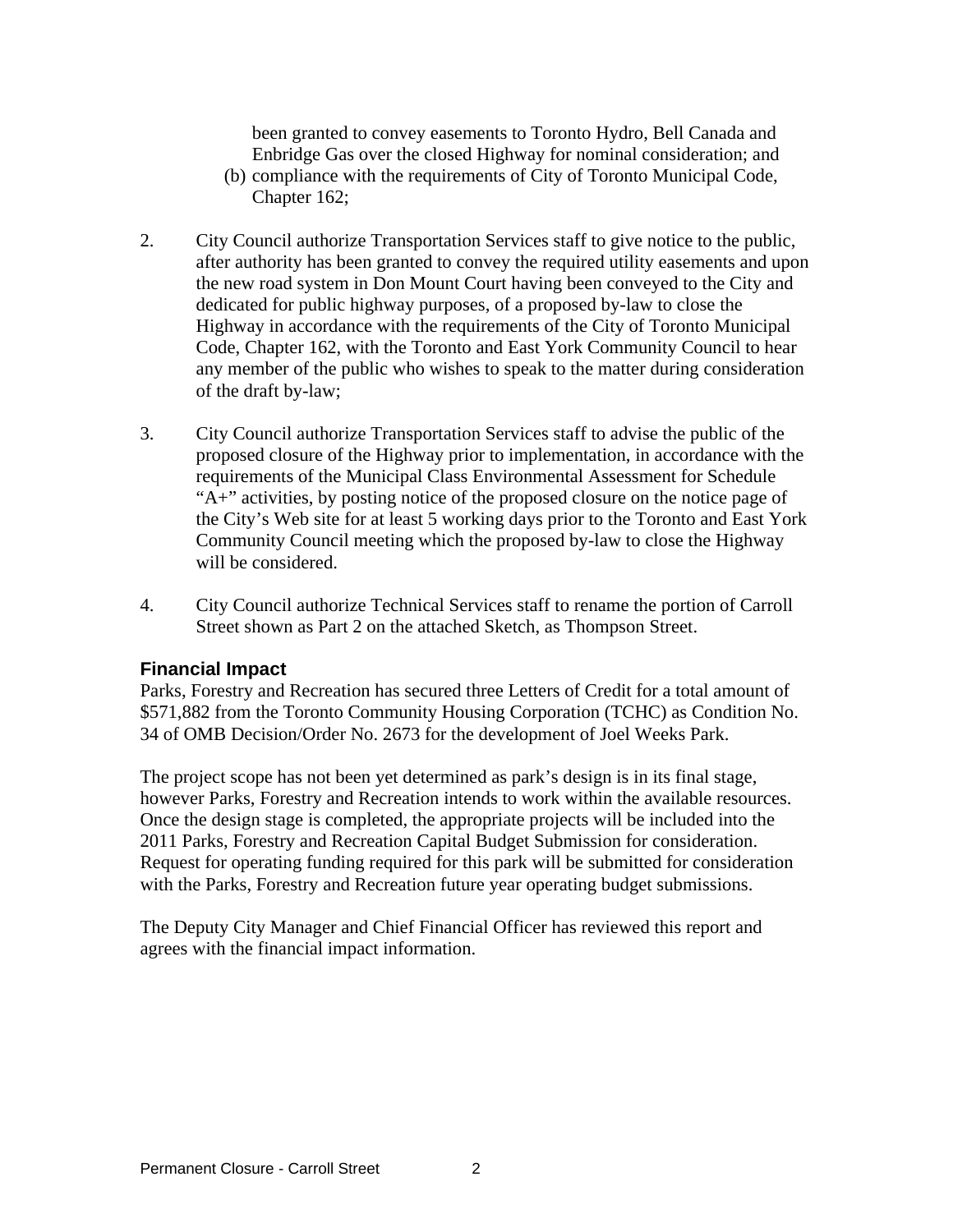been granted to convey easements to Toronto Hydro, Bell Canada and Enbridge Gas over the closed Highway for nominal consideration; and

- (b) compliance with the requirements of City of Toronto Municipal Code, Chapter 162;
- 2. City Council authorize Transportation Services staff to give notice to the public, after authority has been granted to convey the required utility easements and upon the new road system in Don Mount Court having been conveyed to the City and dedicated for public highway purposes, of a proposed by-law to close the Highway in accordance with the requirements of the City of Toronto Municipal Code, Chapter 162, with the Toronto and East York Community Council to hear any member of the public who wishes to speak to the matter during consideration of the draft by-law;
- 3. City Council authorize Transportation Services staff to advise the public of the proposed closure of the Highway prior to implementation, in accordance with the requirements of the Municipal Class Environmental Assessment for Schedule "A+" activities, by posting notice of the proposed closure on the notice page of the City's Web site for at least 5 working days prior to the Toronto and East York Community Council meeting which the proposed by-law to close the Highway will be considered.
- 4. City Council authorize Technical Services staff to rename the portion of Carroll Street shown as Part 2 on the attached Sketch, as Thompson Street.

#### **Financial Impact**

Parks, Forestry and Recreation has secured three Letters of Credit for a total amount of \$571,882 from the Toronto Community Housing Corporation (TCHC) as Condition No. 34 of OMB Decision/Order No. 2673 for the development of Joel Weeks Park.

The project scope has not been yet determined as park's design is in its final stage, however Parks, Forestry and Recreation intends to work within the available resources. Once the design stage is completed, the appropriate projects will be included into the 2011 Parks, Forestry and Recreation Capital Budget Submission for consideration. Request for operating funding required for this park will be submitted for consideration with the Parks, Forestry and Recreation future year operating budget submissions.

The Deputy City Manager and Chief Financial Officer has reviewed this report and agrees with the financial impact information.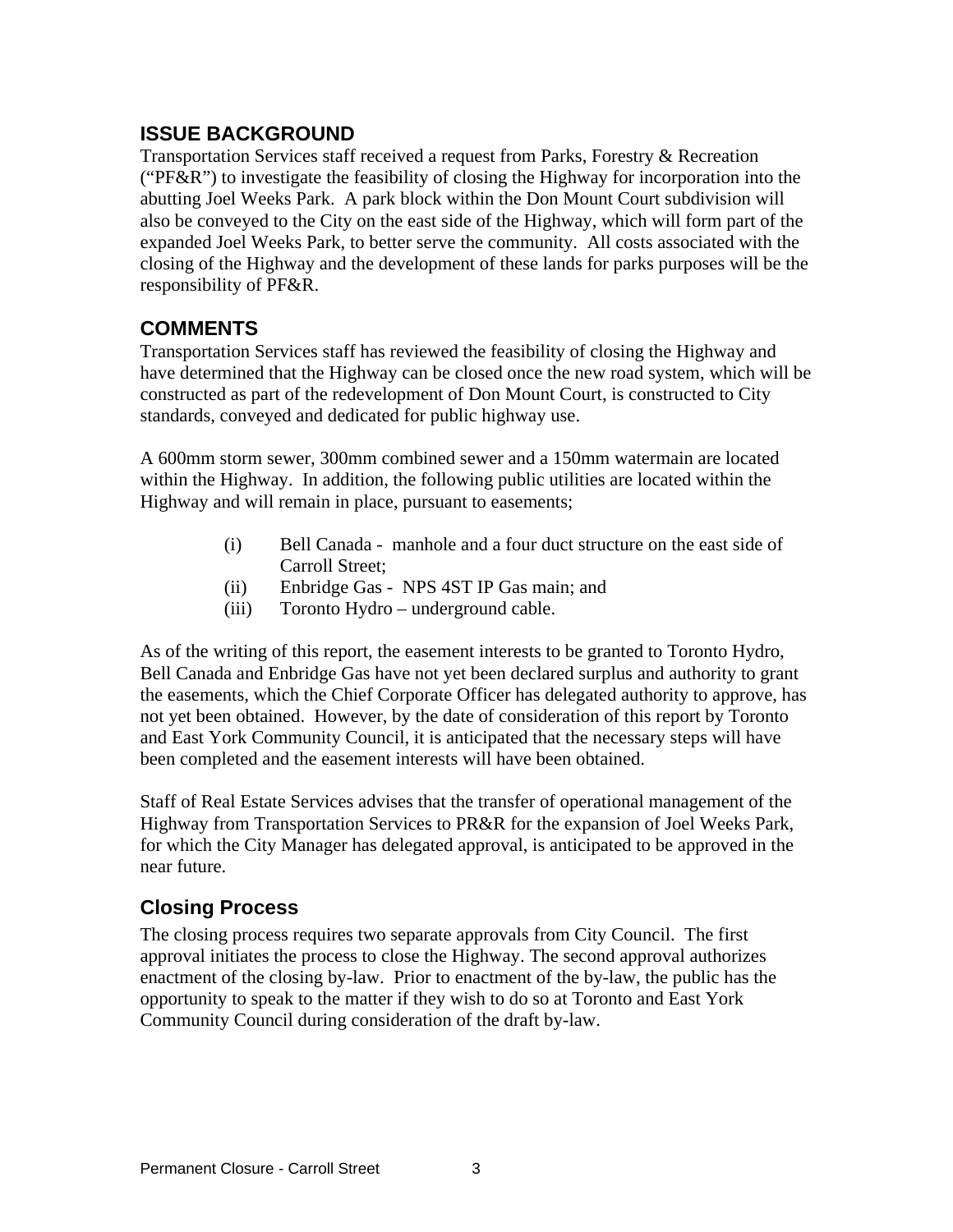#### **ISSUE BACKGROUND**

Transportation Services staff received a request from Parks, Forestry & Recreation ("PF&R") to investigate the feasibility of closing the Highway for incorporation into the abutting Joel Weeks Park. A park block within the Don Mount Court subdivision will also be conveyed to the City on the east side of the Highway, which will form part of the expanded Joel Weeks Park, to better serve the community. All costs associated with the closing of the Highway and the development of these lands for parks purposes will be the responsibility of PF&R.

#### **COMMENTS**

Transportation Services staff has reviewed the feasibility of closing the Highway and have determined that the Highway can be closed once the new road system, which will be constructed as part of the redevelopment of Don Mount Court, is constructed to City standards, conveyed and dedicated for public highway use.

A 600mm storm sewer, 300mm combined sewer and a 150mm watermain are located within the Highway. In addition, the following public utilities are located within the Highway and will remain in place, pursuant to easements;

- (i) Bell Canada manhole and a four duct structure on the east side of Carroll Street;
- (ii) Enbridge Gas NPS 4ST IP Gas main; and
- (iii) Toronto Hydro underground cable.

As of the writing of this report, the easement interests to be granted to Toronto Hydro, Bell Canada and Enbridge Gas have not yet been declared surplus and authority to grant the easements, which the Chief Corporate Officer has delegated authority to approve, has not yet been obtained. However, by the date of consideration of this report by Toronto and East York Community Council, it is anticipated that the necessary steps will have been completed and the easement interests will have been obtained.

Staff of Real Estate Services advises that the transfer of operational management of the Highway from Transportation Services to PR&R for the expansion of Joel Weeks Park, for which the City Manager has delegated approval, is anticipated to be approved in the near future.

#### **Closing Process**

The closing process requires two separate approvals from City Council. The first approval initiates the process to close the Highway. The second approval authorizes enactment of the closing by-law. Prior to enactment of the by-law, the public has the opportunity to speak to the matter if they wish to do so at Toronto and East York Community Council during consideration of the draft by-law.